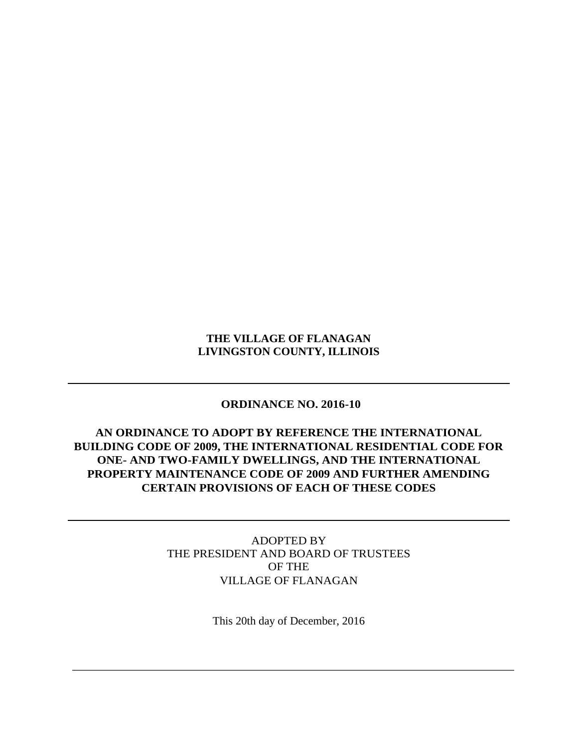### **THE VILLAGE OF FLANAGAN LIVINGSTON COUNTY, ILLINOIS**

## **ORDINANCE NO. 2016-10**

## **AN ORDINANCE TO ADOPT BY REFERENCE THE INTERNATIONAL BUILDING CODE OF 2009, THE INTERNATIONAL RESIDENTIAL CODE FOR ONE- AND TWO-FAMILY DWELLINGS, AND THE INTERNATIONAL PROPERTY MAINTENANCE CODE OF 2009 AND FURTHER AMENDING CERTAIN PROVISIONS OF EACH OF THESE CODES**

ADOPTED BY THE PRESIDENT AND BOARD OF TRUSTEES OF THE VILLAGE OF FLANAGAN

This 20th day of December, 2016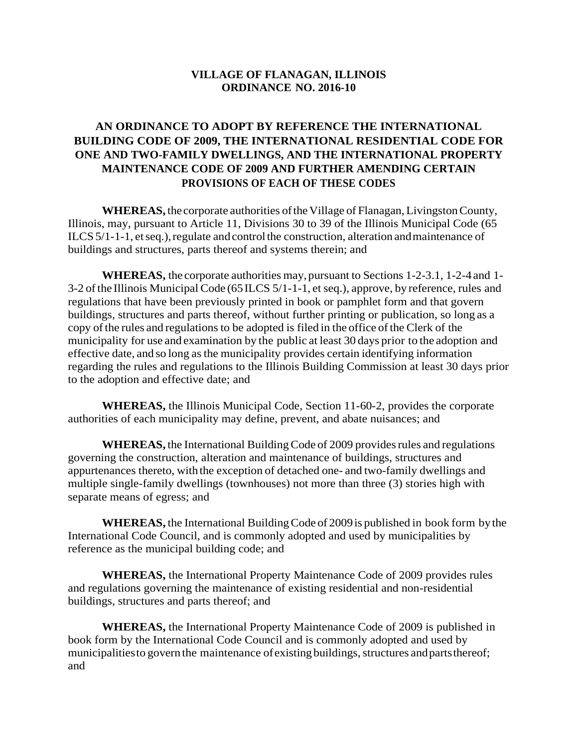#### **VILLAGE OF FLANAGAN, ILLINOIS ORDINANCE NO. 2016-10**

# **AN ORDINANCE TO ADOPT BY REFERENCE THE INTERNATIONAL BUILDING CODE OF 2009, THE INTERNATIONAL RESIDENTIAL CODE FOR ONE AND TWO-FAMILY DWELLINGS, AND THE INTERNATIONAL PROPERTY MAINTENANCE CODE OF 2009 AND FURTHER AMENDING CERTAIN PROVISIONS OF EACH OF THESE CODES**

**WHEREAS,** the corporate authorities of the Village of Flanagan, Livingston County, Illinois, may, pursuant to Article 11, Divisions 30 to 39 of the Illinois Municipal Code (65 ILCS 5/1-1-1, et seq.), regulate and control the construction, alteration and maintenance of buildings and structures, parts thereof and systems therein; and

**WHEREAS,** the corporate authorities may, pursuant to Sections 1-2-3.1, 1-2-4 and 1- 3-2 ofthe Illinois Municipal Code (65ILCS 5/1-1-1, et seq.), approve, by reference, rules and regulations that have been previously printed in book or pamphlet form and that govern buildings, structures and parts thereof, without further printing or publication, so long as a copy of the rules and regulations to be adopted is filed in the office of the Clerk of the municipality for use and examination by the public at least 30 days prior to the adoption and effective date, and so long asthe municipality provides certain identifying information regarding the rules and regulations to the Illinois Building Commission at least 30 days prior to the adoption and effective date; and

**WHEREAS,** the Illinois Municipal Code, Section 11-60-2, provides the corporate authorities of each municipality may define, prevent, and abate nuisances; and

**WHEREAS, the International Building Code of 2009 provides rules and regulations** governing the construction, alteration and maintenance of buildings, structures and appurtenances thereto, with the exception of detached one- and two-family dwellings and multiple single-family dwellings (townhouses) not more than three (3) stories high with separate means of egress; and

**WHEREAS,** the International BuildingCode of 2009is published in book form bythe International Code Council, and is commonly adopted and used by municipalities by reference as the municipal building code; and

**WHEREAS,** the International Property Maintenance Code of 2009 provides rules and regulations governing the maintenance of existing residential and non-residential buildings, structures and parts thereof; and

**WHEREAS,** the International Property Maintenance Code of 2009 is published in book form by the International Code Council and is commonly adopted and used by municipalities to govern the maintenance of existing buildings, structures and parts thereof; and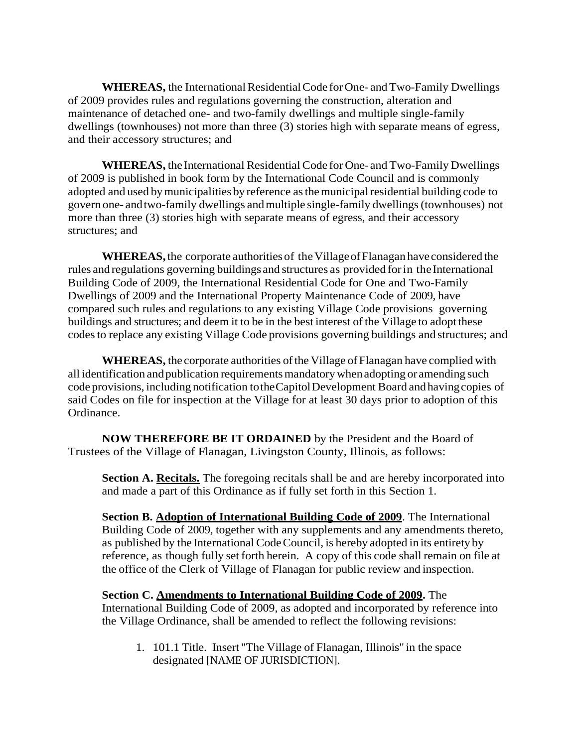WHEREAS, the International Residential Code for One- and Two-Family Dwellings of 2009 provides rules and regulations governing the construction, alteration and maintenance of detached one- and two-family dwellings and multiple single-family dwellings (townhouses) not more than three (3) stories high with separate means of egress, and their accessory structures; and

**WHEREAS,** the International Residential Code for One- and Two-Family Dwellings of 2009 is published in book form by the International Code Council and is commonly adopted and used bymunicipalities by reference asthemunicipalresidential building code to govern one- andtwo-family dwellings andmultiple single-family dwellings(townhouses) not more than three (3) stories high with separate means of egress, and their accessory structures; and

**WHEREAS**, the corporate authorities of the Village of Flanagan have considered the rules and regulations governing buildings and structures as provided for in the International Building Code of 2009, the International Residential Code for One and Two-Family Dwellings of 2009 and the International Property Maintenance Code of 2009, have compared such rules and regulations to any existing Village Code provisions governing buildings and structures; and deem it to be in the best interest of the Village to adopt these codesto replace any existing Village Code provisions governing buildings and structures; and

**WHEREAS,** the corporate authorities of the Village of Flanagan have complied with all identification andpublication requirementsmandatorywhenadopting or amending such code provisions, including notification totheCapitolDevelopment Board andhavingcopies of said Codes on file for inspection at the Village for at least 30 days prior to adoption of this Ordinance.

**NOW THEREFORE BE IT ORDAINED** by the President and the Board of Trustees of the Village of Flanagan, Livingston County, Illinois, as follows:

**Section A. Recitals.** The foregoing recitals shall be and are hereby incorporated into and made a part of this Ordinance as if fully set forth in this Section 1.

**Section B. Adoption of International Building Code of 2009**. The International Building Code of 2009, together with any supplements and any amendments thereto, as published by the International CodeCouncil, is hereby adopted in its entirety by reference, as though fully set forth herein. A copy of this code shall remain on file at the office of the Clerk of Village of Flanagan for public review and inspection.

**Section C. Amendments to International Building Code of 2009.** The International Building Code of 2009, as adopted and incorporated by reference into the Village Ordinance, shall be amended to reflect the following revisions:

1. 101.1 Title. Insert "The Village of Flanagan, Illinois" in the space designated [NAME OF JURISDICTION].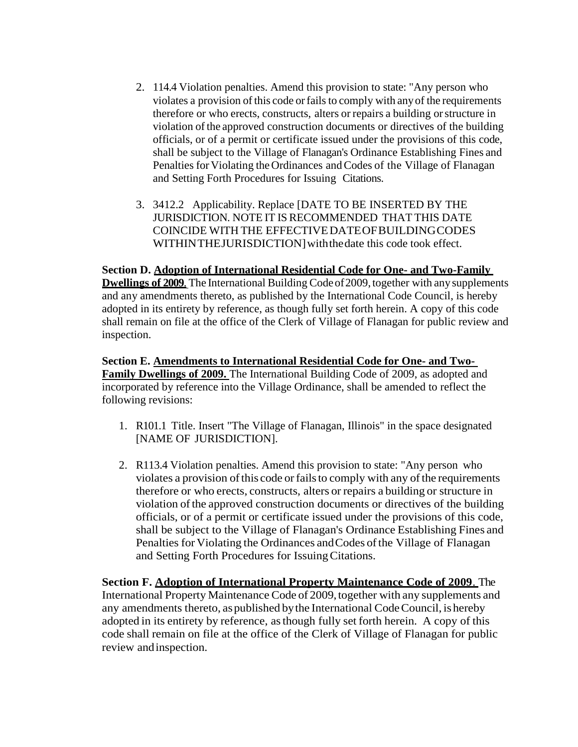- 2. 114.4 Violation penalties. Amend this provision to state: "Any person who violates a provision of this code or fails to comply with any of the requirements therefore or who erects, constructs, alters or repairs a building orstructure in violation ofthe approved construction documents or directives of the building officials, or of a permit or certificate issued under the provisions of this code, shall be subject to the Village of Flanagan's Ordinance Establishing Fines and Penalties for Violating the Ordinances and Codes of the Village of Flanagan and Setting Forth Procedures for Issuing Citations.
- 3. 3412.2 Applicability. Replace [DATE TO BE INSERTED BY THE JURISDICTION. NOTE IT IS RECOMMENDED THAT THIS DATE COINCIDE WITH THE EFFECTIVEDATEOFBUILDINGCODES WITHINTHEJURISDICTION]withthedate this code took effect.

**Section D. Adoption of International Residential Code for One- and Two-Family Dwellings of 2009.** The International Building Code of 2009, together with any supplements and any amendments thereto, as published by the International Code Council, is hereby adopted in its entirety by reference, as though fully set forth herein. A copy of this code shall remain on file at the office of the Clerk of Village of Flanagan for public review and inspection.

**Section E. Amendments to International Residential Code for One- and Two-Family Dwellings of 2009.** The International Building Code of 2009, as adopted and incorporated by reference into the Village Ordinance, shall be amended to reflect the following revisions:

- 1. R101.1 Title. Insert "The Village of Flanagan, Illinois" in the space designated [NAME OF JURISDICTION].
- 2. R113.4 Violation penalties. Amend this provision to state: "Any person who violates a provision of this code or fails to comply with any of the requirements therefore or who erects, constructs, alters or repairs a building or structure in violation ofthe approved construction documents or directives of the building officials, or of a permit or certificate issued under the provisions of this code, shall be subject to the Village of Flanagan's Ordinance Establishing Fines and Penalties for Violating the Ordinances and Codes of the Village of Flanagan and Setting Forth Procedures for IssuingCitations.

**Section F. Adoption of International Property Maintenance Code of 2009**. The International Property Maintenance Code of 2009, together with any supplements and any amendments thereto, as published by the International Code Council, is hereby adopted in its entirety by reference, asthough fully set forth herein. A copy of this code shall remain on file at the office of the Clerk of Village of Flanagan for public review andinspection.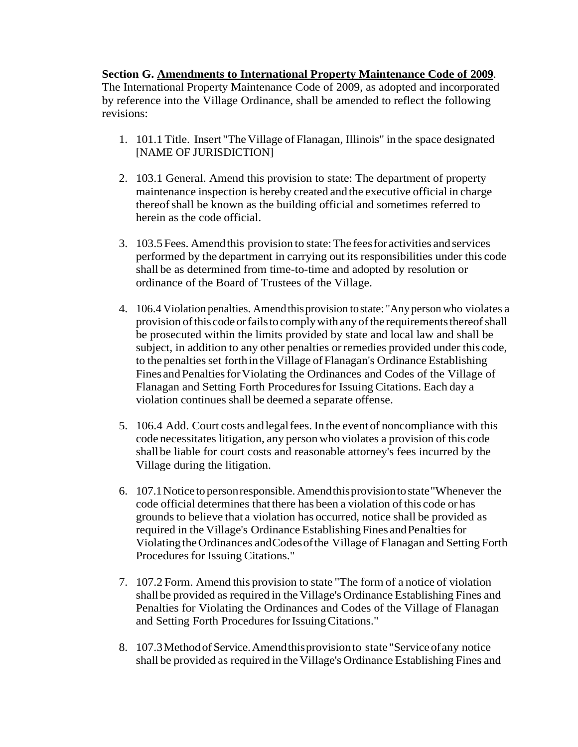## **Section G. Amendments to International Property Maintenance Code of 2009**.

The International Property Maintenance Code of 2009, as adopted and incorporated by reference into the Village Ordinance, shall be amended to reflect the following revisions:

- 1. 101.1 Title. Insert "TheVillage of Flanagan, Illinois" in the space designated [NAME OF JURISDICTION]
- 2. 103.1 General. Amend this provision to state: The department of property maintenance inspection is hereby created and the executive official in charge thereofshall be known as the building official and sometimes referred to herein as the code official.
- 3. 103.5Fees. Amendthis provision to state:The feesforactivities andservices performed by the department in carrying out its responsibilities under this code shall be as determined from time-to-time and adopted by resolution or ordinance of the Board of Trustees of the Village.
- 4. 106.4 Violation penalties. Amendthisprovision tostate: "Anypersonwho violates a provision of this code or fails to comply with any of the requirements thereof shall be prosecuted within the limits provided by state and local law and shall be subject, in addition to any other penalties or remedies provided under this code, to the penalties set forth in the Village of Flanagan's Ordinance Establishing Fines and Penalties for Violating the Ordinances and Codes of the Village of Flanagan and Setting Forth Proceduresfor Issuing Citations. Each day a violation continues shall be deemed a separate offense.
- 5. 106.4 Add. Court costs andlegalfees. In the event of noncompliance with this code necessitates litigation, any person who violates a provision of this code shallbe liable for court costs and reasonable attorney's fees incurred by the Village during the litigation.
- 6. 107.1Noticeto personresponsible.Amendthisprovisionto state"Whenever the code official determines that there has been a violation of this code or has grounds to believe that a violation has occurred, notice shall be provided as required in the Village's Ordinance Establishing Fines and Penalties for ViolatingtheOrdinances andCodesofthe Village of Flanagan and Setting Forth Procedures for Issuing Citations."
- 7. 107.2 Form. Amend this provision to state "The form of a notice of violation shallbe provided as required in the Village's Ordinance Establishing Fines and Penalties for Violating the Ordinances and Codes of the Village of Flanagan and Setting Forth Procedures for Issuing Citations."
- 8. 107.3Methodof Service.Amendthisprovisionto state "Serviceofany notice shall be provided as required in the Village's Ordinance Establishing Fines and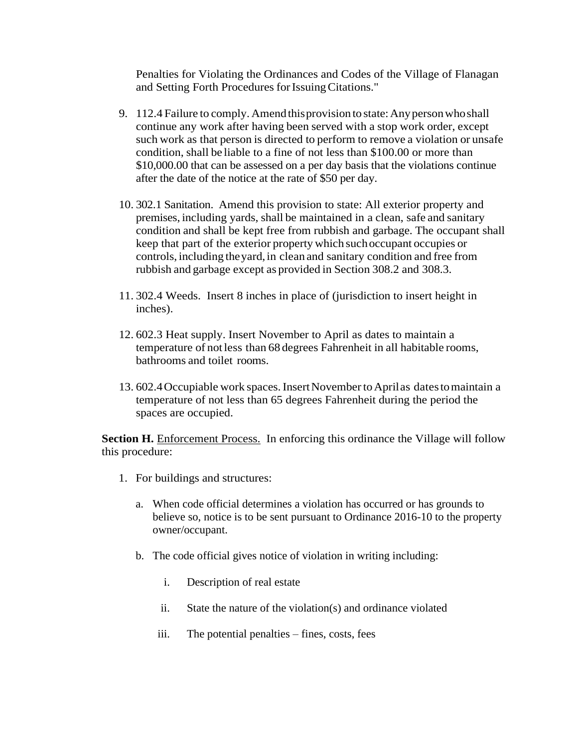Penalties for Violating the Ordinances and Codes of the Village of Flanagan and Setting Forth Procedures for Issuing Citations."

- 9. 112.4 Failure to comply. Amend this provision to state: Any person who shall continue any work after having been served with a stop work order, except such work as that person is directed to perform to remove a violation or unsafe condition, shall be liable to a fine of not less than \$100.00 or more than \$10,000.00 that can be assessed on a per day basis that the violations continue after the date of the notice at the rate of \$50 per day.
- 10. 302.1 Sanitation. Amend this provision to state: All exterior property and premises, including yards, shall be maintained in a clean, safe and sanitary condition and shall be kept free from rubbish and garbage. The occupant shall keep that part of the exterior property which suchoccupant occupies or controls, including theyard,in clean and sanitary condition and free from rubbish and garbage except as provided in Section 308.2 and 308.3.
- 11. 302.4 Weeds. Insert 8 inches in place of (jurisdiction to insert height in inches).
- 12. 602.3 Heat supply. Insert November to April as dates to maintain a temperature of not less than 68 degrees Fahrenheit in all habitable rooms, bathrooms and toilet rooms.
- 13. 602.4Occupiable work spaces.InsertNovembertoAprilas datestomaintain a temperature of not less than 65 degrees Fahrenheit during the period the spaces are occupied.

**Section H.** Enforcement Process. In enforcing this ordinance the Village will follow this procedure:

- 1. For buildings and structures:
	- a. When code official determines a violation has occurred or has grounds to believe so, notice is to be sent pursuant to Ordinance 2016-10 to the property owner/occupant.
	- b. The code official gives notice of violation in writing including:
		- i. Description of real estate
		- ii. State the nature of the violation(s) and ordinance violated
		- iii. The potential penalties fines, costs, fees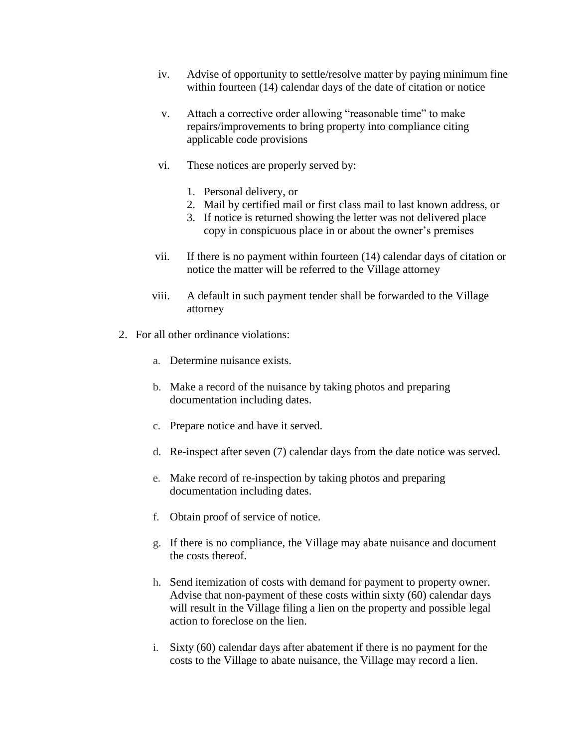- iv. Advise of opportunity to settle/resolve matter by paying minimum fine within fourteen (14) calendar days of the date of citation or notice
- v. Attach a corrective order allowing "reasonable time" to make repairs/improvements to bring property into compliance citing applicable code provisions
- vi. These notices are properly served by:
	- 1. Personal delivery, or
	- 2. Mail by certified mail or first class mail to last known address, or
	- 3. If notice is returned showing the letter was not delivered place copy in conspicuous place in or about the owner's premises
- vii. If there is no payment within fourteen (14) calendar days of citation or notice the matter will be referred to the Village attorney
- viii. A default in such payment tender shall be forwarded to the Village attorney
- 2. For all other ordinance violations:
	- a. Determine nuisance exists.
	- b. Make a record of the nuisance by taking photos and preparing documentation including dates.
	- c. Prepare notice and have it served.
	- d. Re-inspect after seven (7) calendar days from the date notice was served.
	- e. Make record of re-inspection by taking photos and preparing documentation including dates.
	- f. Obtain proof of service of notice.
	- g. If there is no compliance, the Village may abate nuisance and document the costs thereof.
	- h. Send itemization of costs with demand for payment to property owner. Advise that non-payment of these costs within sixty (60) calendar days will result in the Village filing a lien on the property and possible legal action to foreclose on the lien.
	- i. Sixty (60) calendar days after abatement if there is no payment for the costs to the Village to abate nuisance, the Village may record a lien.